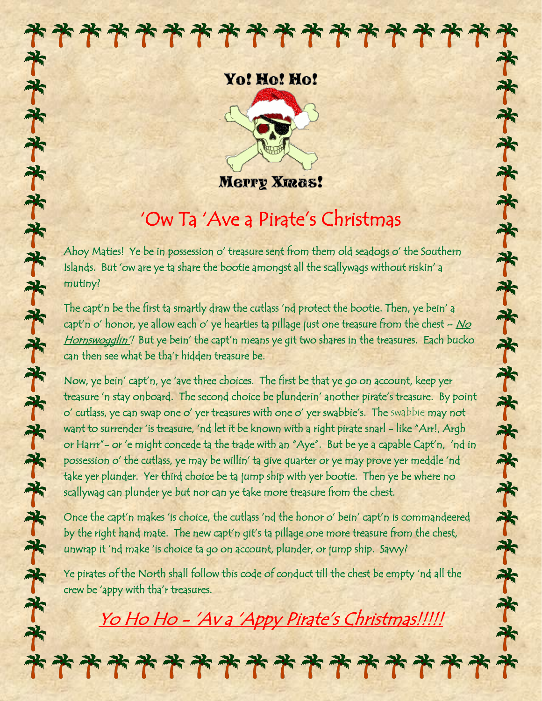# \*\*\*\*\*\*\*\*\*\*\*\*\* \*\*\*\*\*\*\*\*\*\*\*\*\*\*\*\*\*\*\*\*\*

### Yo! Ho! Ho!



**Merry Xmas!** 

## 'Ow Ta 'Ave a Pirate's Christmas

Ahoy Maties! Ye be in possession o' treasure sent from them old seadogs o' the Southern Islands. But 'ow are ye ta share the bootie amongst all the scallywags without riskin' a mutiny?

The capt'n be the first ta smartly draw the cutlass 'nd protect the bootie. Then, ye bein' a capt'n o' honor, ye allow each o' ye hearties ta pillage just one treasure from the chest  $-$  No Hornswogglin'! But ye bein' the capt'n means ye git two shares in the treasures. Each bucko can then see what be tha'r hidden treasure be.

Now, ye bein' capt'n, ye 'ave three choices. The first be that ye go on account, keep yer treasure 'n stay onboard. The second choice be plunderin' another pirate's treasure. By point o' cutlass, ye can swap one o' yer treasures with one o' yer swabbie's. The swabbie may not want to surrender 'is treasure, 'nd let it be known with a right pirate snarl - like "Arr!, Argh or Harrr"- or 'e might concede ta the trade with an "Aye". But be ye a capable Capt'n, 'nd in possession o' the cutlass, ye may be willin' ta give quarter or ye may prove yer meddle 'nd take yer plunder. Yer third choice be ta jump ship with yer bootie. Then ye be where no scallywag can plunder ye but nor can ye take more treasure from the chest.

Once the capt'n makes 'is choice, the cutlass 'nd the honor o' bein' capt'n is commandeered by the right hand mate. The new capt'n git's ta pillage one more treasure from the chest, unwrap it 'nd make 'is choice ta go on account, plunder, or jump ship. Savvy?

Ye pirates of the North shall follow this code of conduct till the chest be empty 'nd all the crew be 'appy with tha'r treasures.

Yo Ho Ho - 'Av a 'Appy Pirate's Christmas!!!!!